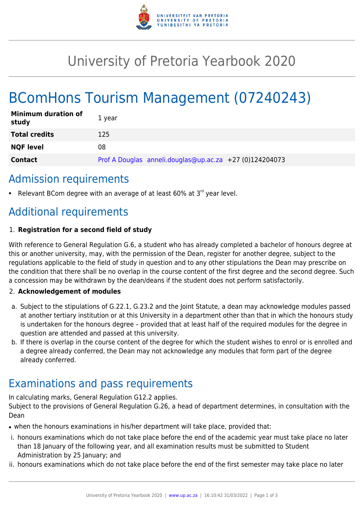

## University of Pretoria Yearbook 2020

# BComHons Tourism Management (07240243)

| <b>Minimum duration of</b><br>study | 1 vear                                                  |
|-------------------------------------|---------------------------------------------------------|
| <b>Total credits</b>                | 125                                                     |
| <b>NQF level</b>                    | 08                                                      |
| <b>Contact</b>                      | Prof A Douglas anneli.douglas@up.ac.za +27 (0)124204073 |

### Admission requirements

Relevant BCom degree with an average of at least  $60\%$  at  $3<sup>rd</sup>$  year level.

## Additional requirements

#### 1. **Registration for a second field of study**

With reference to General Regulation G.6, a student who has already completed a bachelor of honours degree at this or another university, may, with the permission of the Dean, register for another degree, subject to the regulations applicable to the field of study in question and to any other stipulations the Dean may prescribe on the condition that there shall be no overlap in the course content of the first degree and the second degree. Such a concession may be withdrawn by the dean/deans if the student does not perform satisfactorily.

#### 2. **Acknowledgement of modules**

- a. Subject to the stipulations of G.22.1, G.23.2 and the Joint Statute, a dean may acknowledge modules passed at another tertiary institution or at this University in a department other than that in which the honours study is undertaken for the honours degree – provided that at least half of the required modules for the degree in question are attended and passed at this university.
- b. If there is overlap in the course content of the degree for which the student wishes to enrol or is enrolled and a degree already conferred, the Dean may not acknowledge any modules that form part of the degree already conferred.

### Examinations and pass requirements

In calculating marks, General Regulation G12.2 applies.

Subject to the provisions of General Regulation G.26, a head of department determines, in consultation with the Dean

- when the honours examinations in his/her department will take place, provided that:
- i. honours examinations which do not take place before the end of the academic year must take place no later than 18 January of the following year, and all examination results must be submitted to Student Administration by 25 January; and
- ii. honours examinations which do not take place before the end of the first semester may take place no later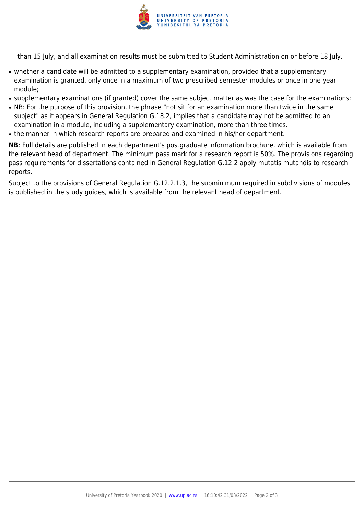

than 15 July, and all examination results must be submitted to Student Administration on or before 18 July.

- whether a candidate will be admitted to a supplementary examination, provided that a supplementary examination is granted, only once in a maximum of two prescribed semester modules or once in one year module;
- supplementary examinations (if granted) cover the same subject matter as was the case for the examinations;
- NB: For the purpose of this provision, the phrase "not sit for an examination more than twice in the same subject" as it appears in General Regulation G.18.2, implies that a candidate may not be admitted to an examination in a module, including a supplementary examination, more than three times.
- the manner in which research reports are prepared and examined in his/her department.

**NB**: Full details are published in each department's postgraduate information brochure, which is available from the relevant head of department. The minimum pass mark for a research report is 50%. The provisions regarding pass requirements for dissertations contained in General Regulation G.12.2 apply mutatis mutandis to research reports.

Subject to the provisions of General Regulation G.12.2.1.3, the subminimum required in subdivisions of modules is published in the study guides, which is available from the relevant head of department.